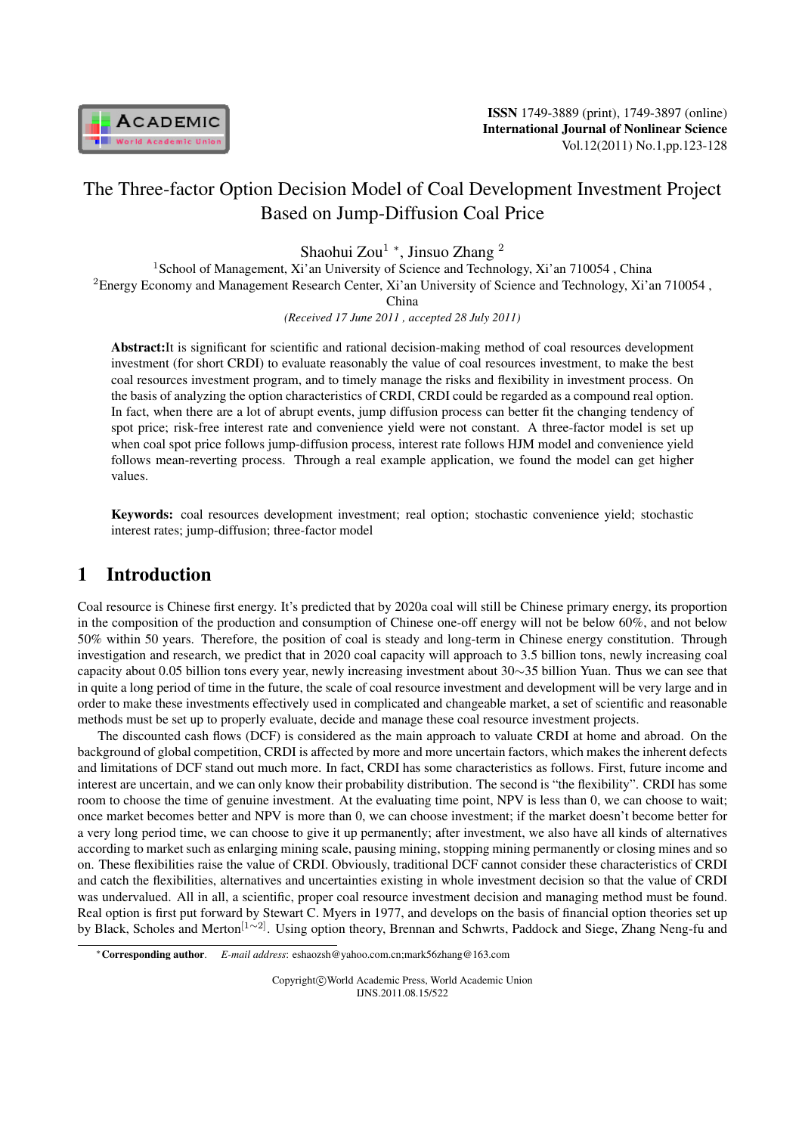

# The Three-factor Option Decision Model of Coal Development Investment Project Based on Jump-Diffusion Coal Price

Shaohui Zou<sup>1</sup> *<sup>∗</sup>* , Jinsuo Zhang <sup>2</sup>

<sup>1</sup> School of Management, Xi'an University of Science and Technology, Xi'an 710054, China <sup>2</sup>Energy Economy and Management Research Center, Xi'an University of Science and Technology, Xi'an 710054 ,

China

*(Received 17 June 2011 , accepted 28 July 2011)*

Abstract:It is significant for scientific and rational decision-making method of coal resources development investment (for short CRDI) to evaluate reasonably the value of coal resources investment, to make the best coal resources investment program, and to timely manage the risks and flexibility in investment process. On the basis of analyzing the option characteristics of CRDI, CRDI could be regarded as a compound real option. In fact, when there are a lot of abrupt events, jump diffusion process can better fit the changing tendency of spot price; risk-free interest rate and convenience yield were not constant. A three-factor model is set up when coal spot price follows jump-diffusion process, interest rate follows HJM model and convenience yield follows mean-reverting process. Through a real example application, we found the model can get higher values.

Keywords: coal resources development investment; real option; stochastic convenience yield; stochastic interest rates; jump-diffusion; three-factor model

## 1 Introduction

Coal resource is Chinese first energy. It's predicted that by 2020a coal will still be Chinese primary energy, its proportion in the composition of the production and consumption of Chinese one-off energy will not be below 60%, and not below 50% within 50 years. Therefore, the position of coal is steady and long-term in Chinese energy constitution. Through investigation and research, we predict that in 2020 coal capacity will approach to 3.5 billion tons, newly increasing coal capacity about 0.05 billion tons every year, newly increasing investment about 30*∼*35 billion Yuan. Thus we can see that in quite a long period of time in the future, the scale of coal resource investment and development will be very large and in order to make these investments effectively used in complicated and changeable market, a set of scientific and reasonable methods must be set up to properly evaluate, decide and manage these coal resource investment projects.

The discounted cash flows (DCF) is considered as the main approach to valuate CRDI at home and abroad. On the background of global competition, CRDI is affected by more and more uncertain factors, which makes the inherent defects and limitations of DCF stand out much more. In fact, CRDI has some characteristics as follows. First, future income and interest are uncertain, and we can only know their probability distribution. The second is "the flexibility". CRDI has some room to choose the time of genuine investment. At the evaluating time point, NPV is less than 0, we can choose to wait; once market becomes better and NPV is more than 0, we can choose investment; if the market doesn't become better for a very long period time, we can choose to give it up permanently; after investment, we also have all kinds of alternatives according to market such as enlarging mining scale, pausing mining, stopping mining permanently or closing mines and so on. These flexibilities raise the value of CRDI. Obviously, traditional DCF cannot consider these characteristics of CRDI and catch the flexibilities, alternatives and uncertainties existing in whole investment decision so that the value of CRDI was undervalued. All in all, a scientific, proper coal resource investment decision and managing method must be found. Real option is first put forward by Stewart C. Myers in 1977, and develops on the basis of financial option theories set up by Black, Scholes and Merton[1*∼*2]. Using option theory, Brennan and Schwrts, Paddock and Siege, Zhang Neng-fu and

Copyright*⃝*c World Academic Press, World Academic Union IJNS.2011.08.15/522

*<sup>∗</sup>*Corresponding author. *E-mail address*: eshaozsh@yahoo.com.cn;mark56zhang@163.com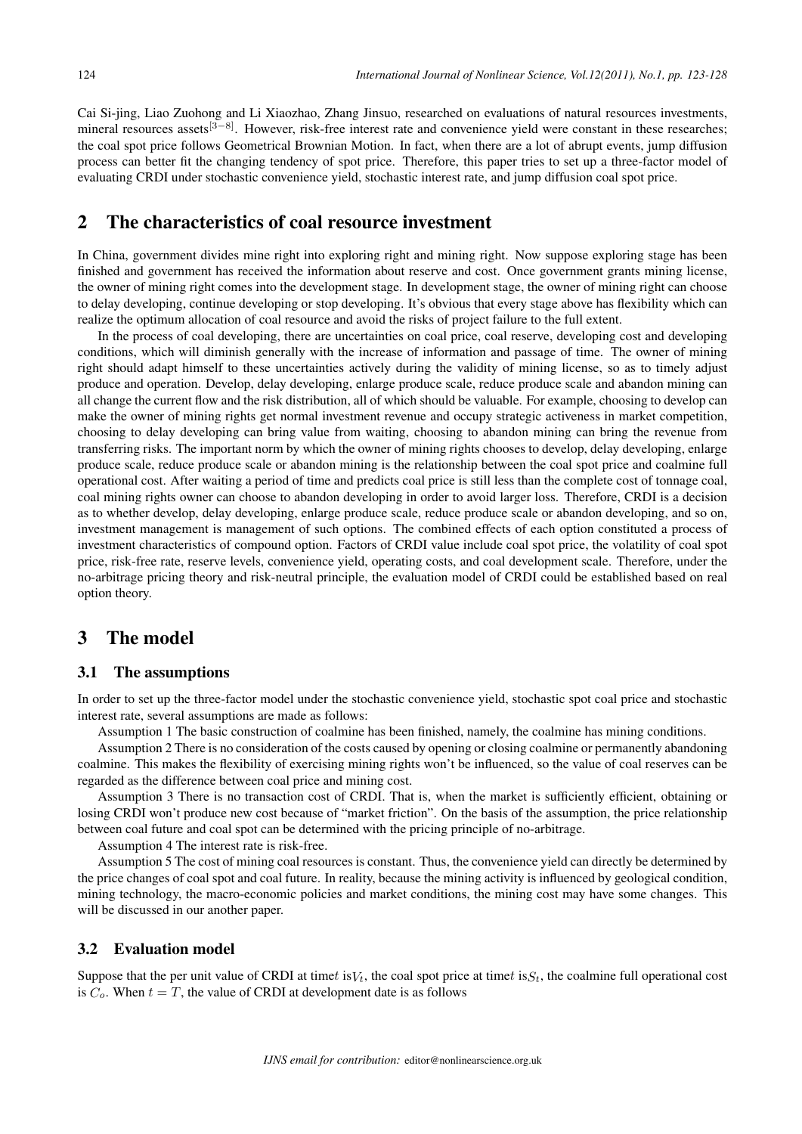Cai Si-jing, Liao Zuohong and Li Xiaozhao, Zhang Jinsuo, researched on evaluations of natural resources investments, mineral resources assets<sup>[3−8]</sup>. However, risk-free interest rate and convenience vield were constant in these researches; the coal spot price follows Geometrical Brownian Motion. In fact, when there are a lot of abrupt events, jump diffusion process can better fit the changing tendency of spot price. Therefore, this paper tries to set up a three-factor model of evaluating CRDI under stochastic convenience yield, stochastic interest rate, and jump diffusion coal spot price.

## 2 The characteristics of coal resource investment

In China, government divides mine right into exploring right and mining right. Now suppose exploring stage has been finished and government has received the information about reserve and cost. Once government grants mining license, the owner of mining right comes into the development stage. In development stage, the owner of mining right can choose to delay developing, continue developing or stop developing. It's obvious that every stage above has flexibility which can realize the optimum allocation of coal resource and avoid the risks of project failure to the full extent.

In the process of coal developing, there are uncertainties on coal price, coal reserve, developing cost and developing conditions, which will diminish generally with the increase of information and passage of time. The owner of mining right should adapt himself to these uncertainties actively during the validity of mining license, so as to timely adjust produce and operation. Develop, delay developing, enlarge produce scale, reduce produce scale and abandon mining can all change the current flow and the risk distribution, all of which should be valuable. For example, choosing to develop can make the owner of mining rights get normal investment revenue and occupy strategic activeness in market competition, choosing to delay developing can bring value from waiting, choosing to abandon mining can bring the revenue from transferring risks. The important norm by which the owner of mining rights chooses to develop, delay developing, enlarge produce scale, reduce produce scale or abandon mining is the relationship between the coal spot price and coalmine full operational cost. After waiting a period of time and predicts coal price is still less than the complete cost of tonnage coal, coal mining rights owner can choose to abandon developing in order to avoid larger loss. Therefore, CRDI is a decision as to whether develop, delay developing, enlarge produce scale, reduce produce scale or abandon developing, and so on, investment management is management of such options. The combined effects of each option constituted a process of investment characteristics of compound option. Factors of CRDI value include coal spot price, the volatility of coal spot price, risk-free rate, reserve levels, convenience yield, operating costs, and coal development scale. Therefore, under the no-arbitrage pricing theory and risk-neutral principle, the evaluation model of CRDI could be established based on real option theory.

## 3 The model

#### 3.1 The assumptions

In order to set up the three-factor model under the stochastic convenience yield, stochastic spot coal price and stochastic interest rate, several assumptions are made as follows:

Assumption 1 The basic construction of coalmine has been finished, namely, the coalmine has mining conditions.

Assumption 2 There is no consideration of the costs caused by opening or closing coalmine or permanently abandoning coalmine. This makes the flexibility of exercising mining rights won't be influenced, so the value of coal reserves can be regarded as the difference between coal price and mining cost.

Assumption 3 There is no transaction cost of CRDI. That is, when the market is sufficiently efficient, obtaining or losing CRDI won't produce new cost because of "market friction". On the basis of the assumption, the price relationship between coal future and coal spot can be determined with the pricing principle of no-arbitrage.

Assumption 4 The interest rate is risk-free.

Assumption 5 The cost of mining coal resources is constant. Thus, the convenience yield can directly be determined by the price changes of coal spot and coal future. In reality, because the mining activity is influenced by geological condition, mining technology, the macro-economic policies and market conditions, the mining cost may have some changes. This will be discussed in our another paper.

#### 3.2 Evaluation model

Suppose that the per unit value of CRDI at time is  $V_t$ , the coal spot price at time  $i$  is  $S_t$ , the coalmine full operational cost is  $C_o$ . When  $t = T$ , the value of CRDI at development date is as follows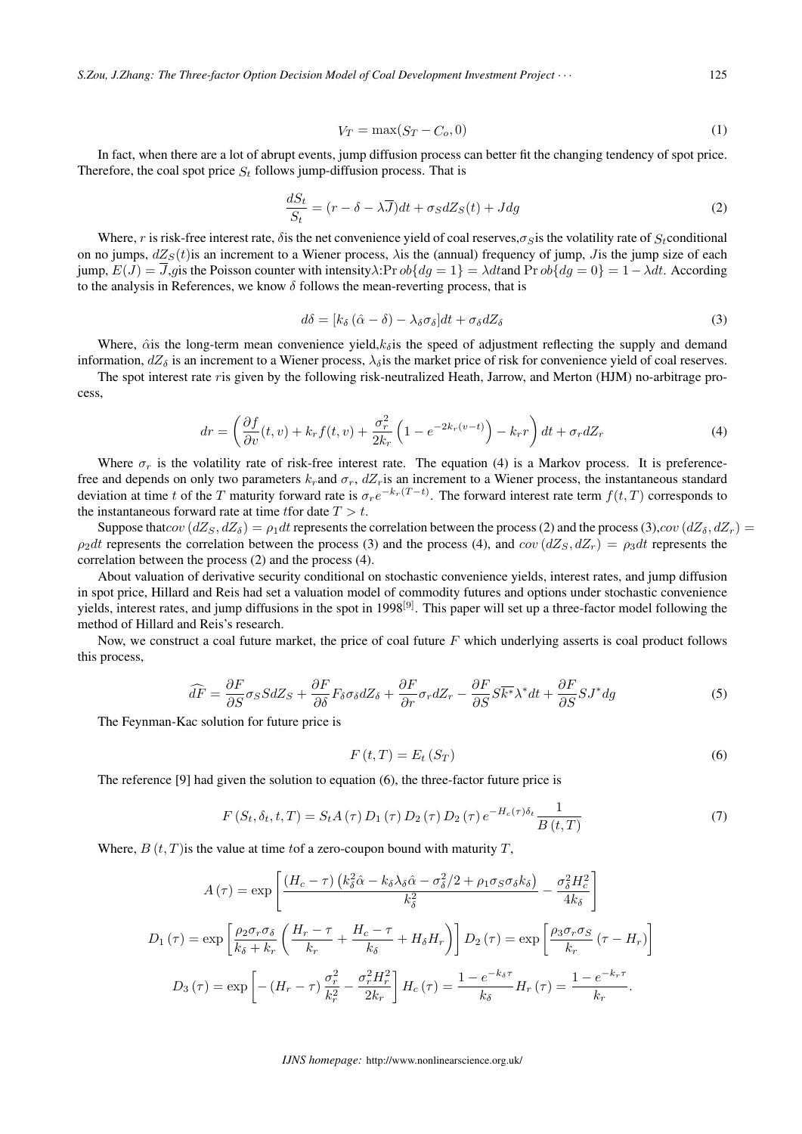*S.Zou, J.Zhang: The Three-factor Option Decision Model of Coal Development Investment Project ⋅ ⋅ ⋅* 125

$$
V_T = \max(S_T - C_o, 0) \tag{1}
$$

In fact, when there are a lot of abrupt events, jump diffusion process can better fit the changing tendency of spot price. Therefore, the coal spot price  $S_t$  follows jump-diffusion process. That is

$$
\frac{dS_t}{S_t} = (r - \delta - \lambda \overline{J})dt + \sigma_S dZ_S(t) + Jdg
$$
\n(2)

Where, r is risk-free interest rate,  $\delta$  is the net convenience yield of coal reserves, $\sigma_s$  is the volatility rate of  $S_t$  conditional on no jumps,  $dZ<sub>S</sub>(t)$  is an increment to a Wiener process,  $\lambda$  is the (annual) frequency of jump, *J* is the jump size of each jump,  $E(J) = J$ ,gis the Poisson counter with intensity $\lambda$ :Pr  $ob{dg = 1} = \lambda dt$  and Pr  $ob{dg = 0} = 1 - \lambda dt$ . According to the analysis in References, we know  $\delta$  follows the mean-reverting process, that is

$$
d\delta = [k_{\delta} (\hat{\alpha} - \delta) - \lambda_{\delta} \sigma_{\delta}] dt + \sigma_{\delta} dZ_{\delta}
$$
\n(3)

Where,  $\hat{\alpha}$  is the long-term mean convenience yield, $k_{\hat{\alpha}}$  is the speed of adjustment reflecting the supply and demand information,  $dZ_{\delta}$  is an increment to a Wiener process,  $\lambda_{\delta}$  is the market price of risk for convenience yield of coal reserves.

The spot interest rate ris given by the following risk-neutralized Heath, Jarrow, and Merton (HJM) no-arbitrage process,

$$
dr = \left(\frac{\partial f}{\partial v}(t, v) + k_r f(t, v) + \frac{\sigma_r^2}{2k_r} \left(1 - e^{-2k_r(v-t)}\right) - k_r r\right) dt + \sigma_r dZ_r
$$
\n(4)

Where  $\sigma_r$  is the volatility rate of risk-free interest rate. The equation (4) is a Markov process. It is preferencefree and depends on only two parameters  $k_r$  and  $\sigma_r$ ,  $dZ_r$  is an increment to a Wiener process, the instantaneous standard deviation at time *t* of the T maturity forward rate is  $\sigma_r e^{-k_r(T-t)}$ . The forward interest rate term  $f(t,T)$  corresponds to the instantaneous forward rate at time *f* for date  $T > t$ .

Suppose that  $cov(dZ_S, dZ_{\delta}) = \rho_1 dt$  represents the correlation between the process (2) and the process (3),  $cov(dZ_{\delta}, dZ_r)$  $\rho_2 dt$  represents the correlation between the process (3) and the process (4), and  $cov(dZ_S, dZ_r) = \rho_3 dt$  represents the correlation between the process (2) and the process (4).

About valuation of derivative security conditional on stochastic convenience yields, interest rates, and jump diffusion in spot price, Hillard and Reis had set a valuation model of commodity futures and options under stochastic convenience yields, interest rates, and jump diffusions in the spot in 1998<sup>[9]</sup>. This paper will set up a three-factor model following the method of Hillard and Reis's research.

Now, we construct a coal future market, the price of coal future  $F$  which underlying asserts is coal product follows this process,

$$
\widehat{dF} = \frac{\partial F}{\partial S} \sigma_S S dZ_S + \frac{\partial F}{\partial \delta} F_\delta \sigma_\delta dZ_\delta + \frac{\partial F}{\partial r} \sigma_r dZ_r - \frac{\partial F}{\partial S} S \overline{k^*} \lambda^* dt + \frac{\partial F}{\partial S} S J^* dg \tag{5}
$$

The Feynman-Kac solution for future price is

$$
F\left(t,T\right) = E_t\left(S_T\right) \tag{6}
$$

The reference [9] had given the solution to equation (6), the three-factor future price is

$$
F(S_t, \delta_t, t, T) = S_t A(\tau) D_1(\tau) D_2(\tau) D_2(\tau) e^{-H_c(\tau)\delta_t} \frac{1}{B(t, T)}
$$
\n(7)

Where,  $B(t, T)$  is the value at time tof a zero-coupon bound with maturity T,

$$
A(\tau) = \exp\left[\frac{(H_c - \tau)\left(k_{\delta}^2 \hat{\alpha} - k_{\delta}\lambda_{\delta} \hat{\alpha} - \sigma_{\delta}^2/2 + \rho_1 \sigma_S \sigma_{\delta} k_{\delta}\right)}{k_{\delta}^2} - \frac{\sigma_{\delta}^2 H_c^2}{4k_{\delta}}\right]
$$

$$
D_1(\tau) = \exp\left[\frac{\rho_2 \sigma_r \sigma_{\delta}}{k_{\delta} + k_r} \left(\frac{H_r - \tau}{k_r} + \frac{H_c - \tau}{k_{\delta}} + H_{\delta} H_r\right)\right] D_2(\tau) = \exp\left[\frac{\rho_3 \sigma_r \sigma_S}{k_r} (\tau - H_r)\right]
$$

$$
D_3(\tau) = \exp\left[-\left(H_r - \tau\right)\frac{\sigma_r^2}{k_r^2} - \frac{\sigma_r^2 H_r^2}{2k_r}\right] H_c(\tau) = \frac{1 - e^{-k_{\delta}\tau}}{k_{\delta}} H_r(\tau) = \frac{1 - e^{-k_r \tau}}{k_r}.
$$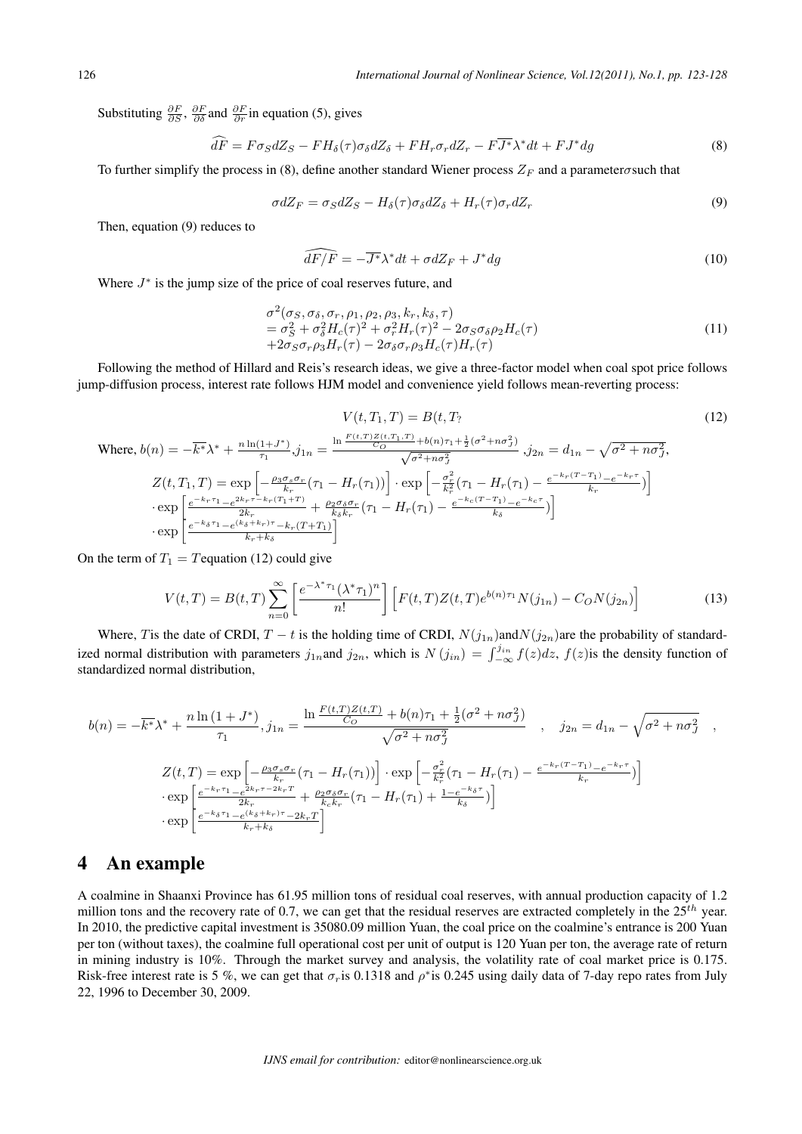Substituting  $\frac{\partial F}{\partial S}$ ,  $\frac{\partial F}{\partial \delta}$  and  $\frac{\partial F}{\partial r}$  in equation (5), gives

$$
\hat{d}\hat{F} = F\sigma_S dZ_S - FH_\delta(\tau)\sigma_\delta dZ_\delta + FH_r \sigma_r dZ_r - F\overline{J^*} \lambda^* dt + FJ^* dg \tag{8}
$$

To further simplify the process in (8), define another standard Wiener process  $Z_F$  and a parameter *o* such that

$$
\sigma dZ_F = \sigma_S dZ_S - H_\delta(\tau) \sigma_\delta dZ_\delta + H_r(\tau) \sigma_r dZ_r \tag{9}
$$

Then, equation (9) reduces to

Where,  $b(n) =$ 

$$
\widehat{dF}/\overline{F} = -\overline{J^*}\lambda^* dt + \sigma dZ_F + J^* dg \tag{10}
$$

 $\left.\frac{r_1)}{k_\delta} e^{-k_c \tau} \right)$ 

Where  $J^*$  is the jump size of the price of coal reserves future, and

$$
\sigma^2(\sigma_S, \sigma_\delta, \sigma_r, \rho_1, \rho_2, \rho_3, k_r, k_\delta, \tau) \n= \sigma_S^2 + \sigma_\delta^2 H_c(\tau)^2 + \sigma_r^2 H_r(\tau)^2 - 2\sigma_S \sigma_\delta \rho_2 H_c(\tau) \n+ 2\sigma_S \sigma_r \rho_3 H_r(\tau) - 2\sigma_\delta \sigma_r \rho_3 H_c(\tau) H_r(\tau)
$$
\n(11)

Following the method of Hillard and Reis's research ideas, we give a three-factor model when coal spot price follows jump-diffusion process, interest rate follows HJM model and convenience yield follows mean-reverting process:

 $\frac{2k_r \tau - k_r(T_1 + T)}{2k_r} + \frac{\rho_2 \sigma_\delta \sigma_r}{k_\delta k_r} (\tau_1 - H_r(\tau_1) - \frac{e^{-k_c (T-T_1)} - e^{-k_c \tau}}{k_\delta})$ 

]

$$
V(t, T_1, T) = B(t, T_2 \tag{12}
$$
\n
$$
n) = -\overline{k^*} \lambda^* + \frac{n \ln(1 + J^*)}{\tau_1} j_{1n} = \frac{\ln \frac{F(t, T)Z(t, T_1, T)}{C_O} + b(n)\tau_1 + \frac{1}{2}(\sigma^2 + n\sigma^2)}{\sqrt{\sigma^2 + n\sigma^2_j}} \quad j_{2n} = d_{1n} - \sqrt{\sigma^2 + n\sigma^2_j},
$$
\n
$$
Z(t, T_1, T) = \exp\left[-\frac{\rho_3 \sigma_s \sigma_r}{k_r} (\tau_1 - H_r(\tau_1))\right] \cdot \exp\left[-\frac{\sigma_r^2}{k_r^2} (\tau_1 - H_r(\tau_1) - \frac{e^{-k_r(T - T_1)} - e^{-k_r \tau}}{k_r})\right]
$$
\n
$$
(12)
$$

On the term of 
$$
T_1 = T
$$
 equation (12) could give

 $\cdot \exp \left[ \frac{e^{-k_r \tau_1} - e^{2k_r \tau_-} k_r (T_1 + T)}{2k} \right]$ 

 $\cdot \exp \left[ \frac{e^{-k_{\delta}\tau_1} - e^{(k_{\delta}+k_r)\tau} - k_r(T+T_1)}{k_r + k_{\delta}} \right]$ 

$$
V(t,T) = B(t,T) \sum_{n=0}^{\infty} \left[ \frac{e^{-\lambda^* \tau_1} (\lambda^* \tau_1)^n}{n!} \right] \left[ F(t,T) Z(t,T) e^{b(n)\tau_1} N(j_{1n}) - C_O N(j_{2n}) \right]
$$
(13)

Where, T is the date of CRDI,  $T - t$  is the holding time of CRDI,  $N(j_{1n})$ and $N(j_{2n})$ are the probability of standardized normal distribution with parameters  $j_{1n}$  and  $j_{2n}$ , which is  $N(j_{in}) = \int_{-\infty}^{j_{in}} f(z)dz$ ,  $f(z)$  is the density function of standardized normal distribution,

$$
b(n) = -\overline{k^*}\lambda^* + \frac{n\ln(1+J^*)}{\tau_1}, j_{1n} = \frac{\ln\frac{F(t,T)Z(t,T)}{C_O} + b(n)\tau_1 + \frac{1}{2}(\sigma^2 + n\sigma_J^2)}{\sqrt{\sigma^2 + n\sigma_J^2}}, \quad j_{2n} = d_{1n} - \sqrt{\sigma^2 + n\sigma_J^2},
$$
  

$$
Z(t,T) = \exp\left[-\frac{\rho_3\sigma_s\sigma_r}{k_r}(\tau_1 - H_r(\tau_1))\right] \cdot \exp\left[-\frac{\sigma_r^2}{k_r^2}(\tau_1 - H_r(\tau_1) - \frac{e^{-k_r(T-T_1)} - e^{-k_r\tau}}{k_r})\right]
$$

$$
\cdot \exp\left[\frac{e^{-k_r\tau_1} - e^{2k_r\tau - 2k_rT}}{2k_r} + \frac{\rho_2\sigma_\delta\sigma_r}{k_ck_r}(\tau_1 - H_r(\tau_1) + \frac{1 - e^{-k_\delta\tau}}{k_\delta})\right]
$$

$$
\cdot \exp\left[\frac{e^{-k_\delta\tau_1} - e^{(k_\delta + k_r)\tau} - 2k_rT}{k_r + k_\delta}\right]
$$

### 4 An example

A coalmine in Shaanxi Province has 61.95 million tons of residual coal reserves, with annual production capacity of 1.2 million tons and the recovery rate of 0.7, we can get that the residual reserves are extracted completely in the 25*ℎ* year. In 2010, the predictive capital investment is 35080.09 million Yuan, the coal price on the coalmine's entrance is 200 Yuan per ton (without taxes), the coalmine full operational cost per unit of output is 120 Yuan per ton, the average rate of return in mining industry is 10%. Through the market survey and analysis, the volatility rate of coal market price is 0.175. Risk-free interest rate is 5 %, we can get that  $\sigma_r$  is 0.1318 and  $\rho^*$  is 0.245 using daily data of 7-day repo rates from July 22, 1996 to December 30, 2009.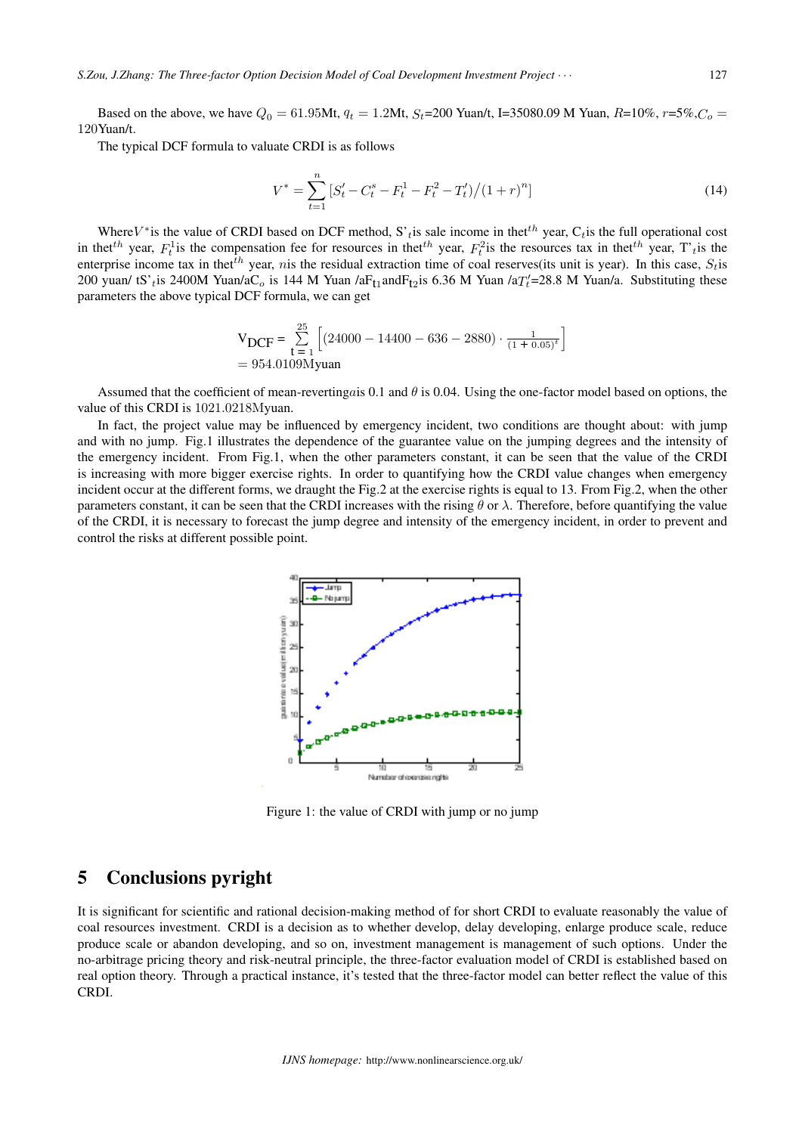Based on the above, we have  $Q_0 = 61.95$ Mt,  $q_t = 1.2$ Mt,  $S_t = 200$  Yuan/t, I=35080.09 M Yuan,  $R = 10\%$ ,  $r = 5\%$ ,  $C_0 =$ 120Yuan/t.

The typical DCF formula to valuate CRDI is as follows

$$
V^* = \sum_{t=1}^n \left[ S_t' - C_t^s - F_t^1 - F_t^2 - T_t' \right) / (1+r)^n \tag{14}
$$

Where  $V^*$  is the value of CRDI based on DCF method, S'<sub>t</sub> is sale income in thet<sup>th</sup> year, C<sub>t</sub> is the full operational cost in thet<sup>th</sup> year,  $F_t^1$  is the compensation fee for resources in thet<sup>th</sup> year,  $F_t^2$  is the resources tax in thet<sup>th</sup> year, T'<sub>t</sub> is the enterprise income tax in thet<sup>th</sup> year, *n* is the residual extraction time of coal reserves(its unit is year). In this case,  $S_t$  is 200 yuan/ tS'<sub>t</sub> is 2400M Yuan/aC<sub>o</sub> is 144 M Yuan /aF<sub>t1</sub> and F<sub>t2</sub> is 6.36 M Yuan /aT $'_t$ =28.8 M Yuan/a. Substituting these parameters the above typical DCF formula, we can get

$$
V_{DCF} = \sum_{t=1}^{25} \left[ (24000 - 14400 - 636 - 2880) \cdot \frac{1}{(1 + 0.05)^t} \right]
$$
  
= 954.0109Myuan

Assumed that the coefficient of mean-reverting as 0.1 and  $\theta$  is 0.04. Using the one-factor model based on options, the value of this CRDI is 1021*.*0218Myuan.

In fact, the project value may be influenced by emergency incident, two conditions are thought about: with jump and with no jump. Fig.1 illustrates the dependence of the guarantee value on the jumping degrees and the intensity of the emergency incident. From Fig.1, when the other parameters constant, it can be seen that the value of the CRDI is increasing with more bigger exercise rights. In order to quantifying how the CRDI value changes when emergency incident occur at the different forms, we draught the Fig.2 at the exercise rights is equal to 13. From Fig.2, when the other parameters constant, it can be seen that the CRDI increases with the rising  $\theta$  or  $\lambda$ . Therefore, before quantifying the value of the CRDI, it is necessary to forecast the jump degree and intensity of the emergency incident, in order to prevent and control the risks at different possible point.



Figure 1: the value of CRDI with jump or no jump

## 5 Conclusions pyright

It is significant for scientific and rational decision-making method of for short CRDI to evaluate reasonably the value of coal resources investment. CRDI is a decision as to whether develop, delay developing, enlarge produce scale, reduce produce scale or abandon developing, and so on, investment management is management of such options. Under the no-arbitrage pricing theory and risk-neutral principle, the three-factor evaluation model of CRDI is established based on real option theory. Through a practical instance, it's tested that the three-factor model can better reflect the value of this CRDI.